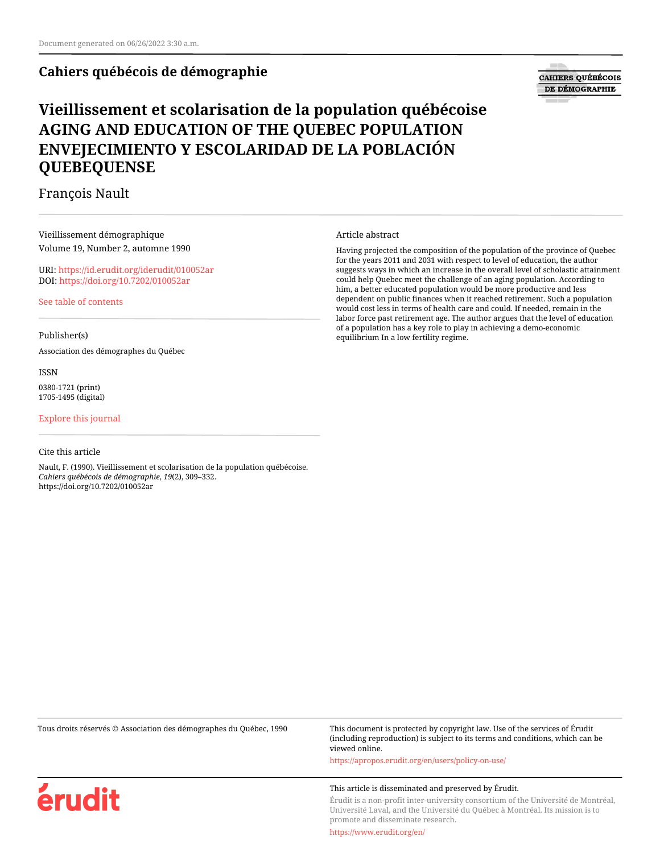# **Cahiers québécois de démographie**

# **CAHIERS QUÉBÉCOIS** DE DÉMOGRAPHIE

# **Vieillissement et scolarisation de la population québécoise AGING AND EDUCATION OF THE QUEBEC POPULATION ENVEJECIMIENTO Y ESCOLARIDAD DE LA POBLACIÓN QUEBEQUENSE**

# François Nault

Vieillissement démographique Volume 19, Number 2, automne 1990

URI:<https://id.erudit.org/iderudit/010052ar> DOI:<https://doi.org/10.7202/010052ar>

[See table of contents](https://www.erudit.org/en/journals/cqd/1990-v19-n2-cqd570/)

#### Publisher(s)

Association des démographes du Québec

ISSN 0380-1721 (print) 1705-1495 (digital)

#### [Explore this journal](https://www.erudit.org/en/journals/cqd/)

#### Cite this article

érudit

Nault, F. (1990). Vieillissement et scolarisation de la population québécoise. *Cahiers québécois de démographie*, *19*(2), 309–332. https://doi.org/10.7202/010052ar

#### Article abstract

Having projected the composition of the population of the province of Quebec for the years 2011 and 2031 with respect to level of education, the author suggests ways in which an increase in the overall level of scholastic attainment could help Quebec meet the challenge of an aging population. According to him, a better educated population would be more productive and less dependent on public finances when it reached retirement. Such a population would cost less in terms of health care and could. If needed, remain in the labor force past retirement age. The author argues that the level of education of a population has a key role to play in achieving a demo-economic equilibrium In a low fertility regime.

Tous droits réservés © Association des démographes du Québec, 1990 This document is protected by copyright law. Use of the services of Érudit (including reproduction) is subject to its terms and conditions, which can be viewed online.

<https://apropos.erudit.org/en/users/policy-on-use/>

#### This article is disseminated and preserved by Érudit.

Érudit is a non-profit inter-university consortium of the Université de Montréal, Université Laval, and the Université du Québec à Montréal. Its mission is to promote and disseminate research.

<https://www.erudit.org/en/>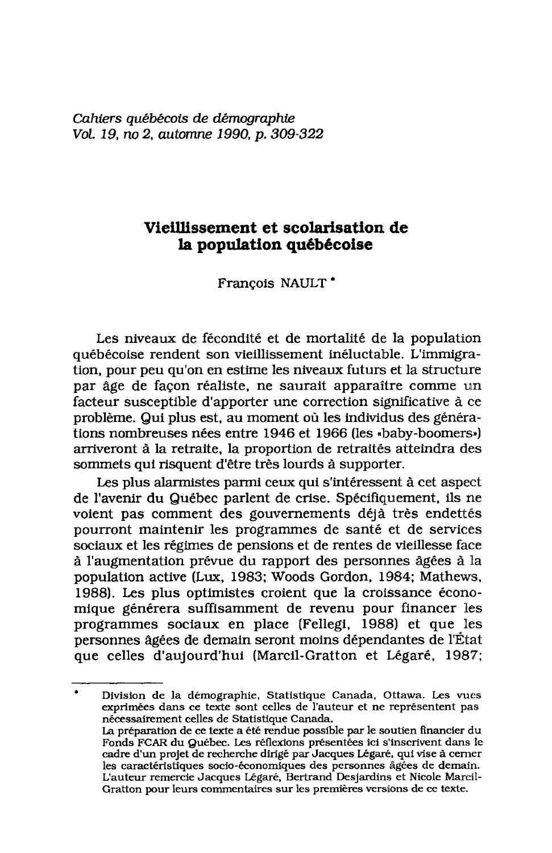Cahiers québécois de démographie Vol. 19, no 2, automne 1990, p. 309-322

# Vieillissement et scolarisation de la population québécoise

Francois NAULT<sup>\*</sup>

Les niveaux de fécondité et de mortalité de la population québécoise rendent son vieillissement inéluctable. L'immigration, pour peu qu'on en estime les niveaux futurs et la structure par âge de façon réaliste, ne saurait apparaître comme un facteur susceptible d'apporter une correction significative à ce problème. Qui plus est, au moment où les individus des générations nombreuses nées entre 1946 et 1966 (les «baby-boomers») arriveront à la retraite, la proportion de retraités atteindra des sommets qui risquent d'être très lourds à supporter.

Les plus alarmistes parmi ceux qui s'intéressent à cet aspect de l'avenir du Québec parlent de crise. Spécifiquement, ils ne voient pas comment des gouvernements déjà très endettés pourront maintenir les programmes de santé et de services sociaux et les régimes de pensions et de rentes de vieillesse face à l'augmentation prévue du rapport des personnes âgées à la population active (Lux, 1983; Woods Gordon, 1984; Mathews, 1988). Les plus optimistes croient que la croissance économique générera suffisamment de revenu pour financer les programmes sociaux en place (Fellegi, 1988) et que les personnes âgées de demain seront moins dépendantes de l'État que celles d'aujourd'hui (Marcil-Gratton et Légaré, 1987;

Division de la démographie, Statistique Canada, Ottawa. Les vues exprimées dans ce texte sont celles de l'auteur et ne représentent pas nécessairement celles de Statistique Canada. La préparation de ce texte a été rendue possible par le soutien financier du Fonds FCAR du Québec. Les réflexions présentées ici s'inscrivent dans le cadre d'un projet de recherche dirigé par Jacques Légaré, qui vise à cerner les caractéristiques socio-économiques des personnes âgées de demain. L'auteur remercie Jacques Légaré, Bertrand Desjardins et Nicole Marcil-Gratton pour leurs commentaires sur les premières versions de ce texte.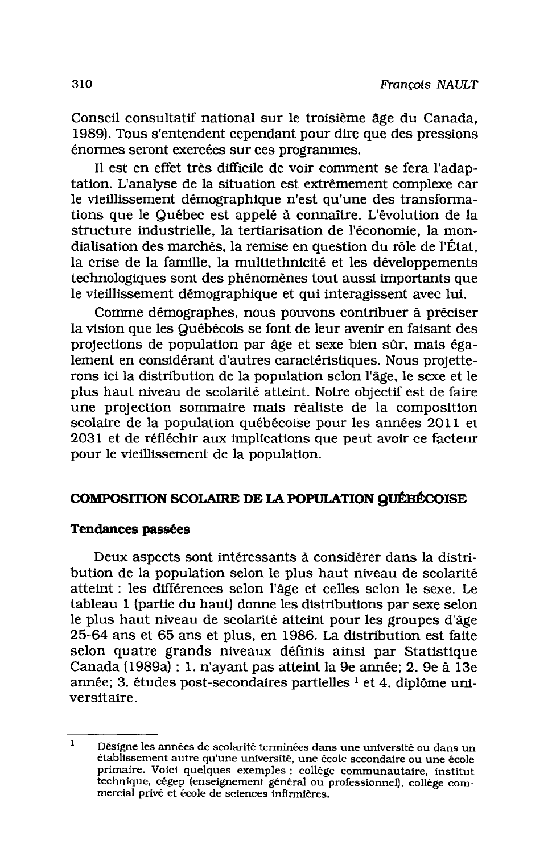Conseil consultatif national sur le troisième âge du Canada, 1989). Tous s'entendent cependant pour dire que des pressions énormes seront exercées sur ces programmes.

Il est en effet très difficile de voir comment se fera l'adaptation. L'analyse de la situation est extrêmement complexe car le vieillissement démographique n'est qu'une des transformations que le Québec est appelé à connaître. L'évolution de la structure industrielle, la tertiarisation de l'économie, la mondialisation des marchés, la remise en question du rôle de l'État. la crise de la famille, la multiethnicité et les développements technologiques sont des phénomènes tout aussi importants que le vieillissement démographique et qui interagissent avec lui.

Comme démographes, nous pouvons contribuer à préciser la vision que les Québécois se font de leur avenir en faisant des projections de population par âge et sexe bien sûr, mais également en considérant d'autres caractéristiques. Nous projetterons ici la distribution de la population selon l'âge, le sexe et le plus haut niveau de scolarité atteint. Notre objectif est de faire une projection sommaire mais réaliste de la composition scolaire de la population québécoise pour les années 2011 et 2031 et de réfléchir aux implications que peut avoir ce facteur pour le vieillissement de la population.

## COMPOSITION SCOLAIRE DE LA POPULATION QUÉBÉCOISE

#### **Tendances passées**

Deux aspects sont intéressants à considérer dans la distribution de la population selon le plus haut niveau de scolarité atteint : les différences selon l'âge et celles selon le sexe. Le tableau 1 (partie du haut) donne les distributions par sexe selon le plus haut niveau de scolarité atteint pour les groupes d'âge 25-64 ans et 65 ans et plus, en 1986. La distribution est faite selon quatre grands niveaux définis ainsi par Statistique Canada (1989a) : 1. n'ayant pas atteint la 9e année; 2. 9e à 13e année; 3. études post-secondaires partielles <sup>1</sup> et 4. diplôme universitaire.

 $\mathbf{1}$ Désigne les années de scolarité terminées dans une université ou dans un établissement autre qu'une université, une école secondaire ou une école primaire. Voici quelques exemples : collège communautaire, institut technique, cégep (enseignement général ou professionnel), collège commercial privé et école de sciences infirmières.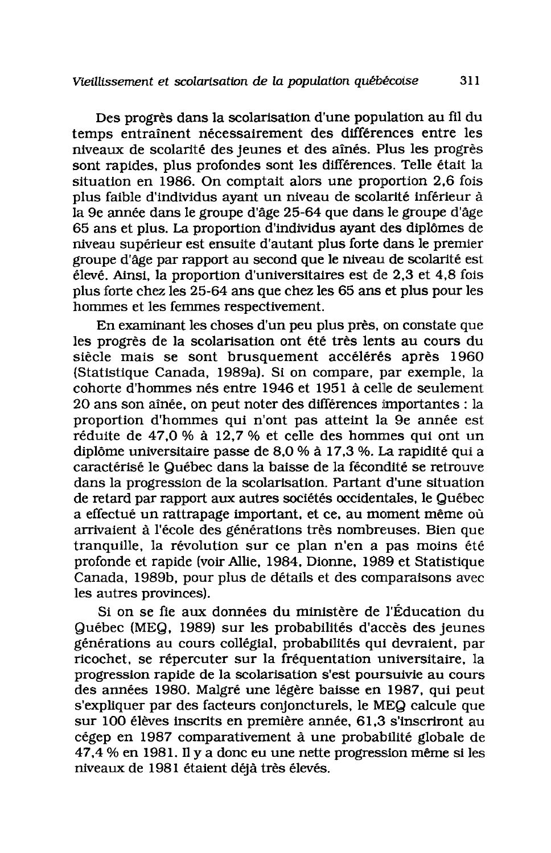Des progrès dans la scolarisation d'une population au fil du temps entraînent nécessairement des différences entre les niveaux de scolarité des jeunes et des aînés. Plus les progrès sont rapides, plus profondes sont les différences. Telle était la situation en 1986. On comptait alors une proportion 2.6 fois plus faible d'individus ayant un niveau de scolarité inférieur à la 9e année dans le groupe d'âge 25-64 que dans le groupe d'âge 65 ans et plus. La proportion d'individus ayant des diplômes de niveau supérieur est ensuite d'autant plus forte dans le premier groupe d'âge par rapport au second que le niveau de scolarité est élevé. Ainsi, la proportion d'universitaires est de 2,3 et 4,8 fois plus forte chez les 25-64 ans que chez les 65 ans et plus pour les hommes et les femmes respectivement.

En examinant les choses d'un peu plus près, on constate que les progrès de la scolarisation ont été très lents au cours du siècle mais se sont brusquement accélérés après 1960 (Statistique Canada, 1989a). Si on compare, par exemple, la cohorte d'hommes nés entre 1946 et 1951 à celle de seulement 20 ans son aînée, on peut noter des différences importantes : la proportion d'hommes qui n'ont pas atteint la 9e année est réduite de 47.0 % à 12.7 % et celle des hommes qui ont un diplôme universitaire passe de 8.0 % à 17.3 %. La rapidité qui a caractérisé le Québec dans la baisse de la fécondité se retrouve dans la progression de la scolarisation. Partant d'une situation de retard par rapport aux autres sociétés occidentales, le Québec a effectué un rattrapage important, et ce, au moment même où arrivaient à l'école des générations très nombreuses. Bien que tranquille, la révolution sur ce plan n'en a pas moins été profonde et rapide (voir Allie, 1984, Dionne, 1989 et Statistique Canada, 1989b, pour plus de détails et des comparaisons avec les autres provinces).

Si on se fie aux données du ministère de l'Éducation du Québec (MEQ, 1989) sur les probabilités d'accès des jeunes générations au cours collégial, probabilités qui devraient, par ricochet, se répercuter sur la fréquentation universitaire, la progression rapide de la scolarisation s'est poursuivie au cours des années 1980. Malgré une légère baisse en 1987, qui peut s'expliquer par des facteurs conjoncturels, le MEQ calcule que sur 100 élèves inscrits en première année, 61,3 s'inscriront au cégep en 1987 comparativement à une probabilité globale de 47,4 % en 1981. Il y a donc eu une nette progression même si les niveaux de 1981 étaient déjà très élevés.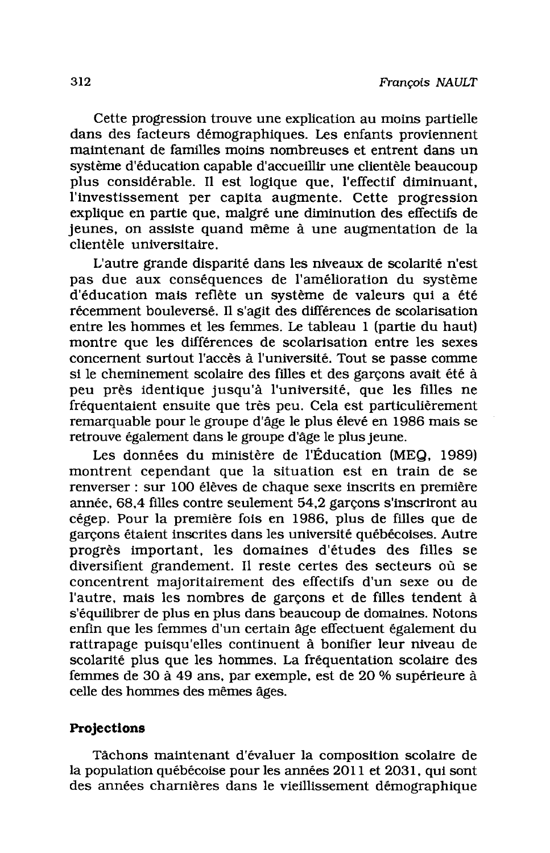Cette progression trouve une explication au moins partielle dans des facteurs démographiques. Les enfants proviennent maintenant de familles moins nombreuses et entrent dans un système d'éducation capable d'accueillir une clientèle beaucoup plus considérable. Il est logique que, l'effectif diminuant, l'investissement per capita augmente. Cette progression explique en partie que, malgré une diminution des effectifs de jeunes, on assiste quand même à une augmentation de la clientèle universitaire.

L'autre grande disparité dans les niveaux de scolarité n'est pas due aux conséquences de l'amélioration du système d'éducation mais reflète un système de valeurs qui a été récemment bouleversé. Il s'agit des différences de scolarisation entre les hommes et les femmes. Le tableau 1 (partie du haut) montre que les différences de scolarisation entre les sexes concernent surtout l'accès à l'université. Tout se passe comme si le cheminement scolaire des filles et des garçons avait été à peu près identique jusqu'à l'université, que les filles ne fréquentaient ensuite que très peu. Cela est particulièrement remarquable pour le groupe d'âge le plus élevé en 1986 mais se retrouve également dans le groupe d'âge le plus jeune.

Les données du ministère de l'Éducation (MEQ. 1989) montrent cependant que la situation est en train de se renverser : sur 100 élèves de chaque sexe inscrits en première année, 68.4 filles contre seulement 54.2 garcons s'inscriront au cégep. Pour la première fois en 1986, plus de filles que de garcons étaient inscrites dans les université québécoises. Autre progrès important, les domaines d'études des filles se diversifient grandement. Il reste certes des secteurs où se concentrent majoritairement des effectifs d'un sexe ou de l'autre, mais les nombres de garçons et de filles tendent à s'équilibrer de plus en plus dans beaucoup de domaines. Notons enfin que les femmes d'un certain âge effectuent également du rattrapage puisqu'elles continuent à bonifier leur niveau de scolarité plus que les hommes. La fréquentation scolaire des femmes de 30 à 49 ans, par exemple, est de 20 % supérieure à celle des hommes des mêmes âges.

## Projections

Tâchons maintenant d'évaluer la composition scolaire de la population québécoise pour les années 2011 et 2031, qui sont des années charnières dans le vieillissement démographique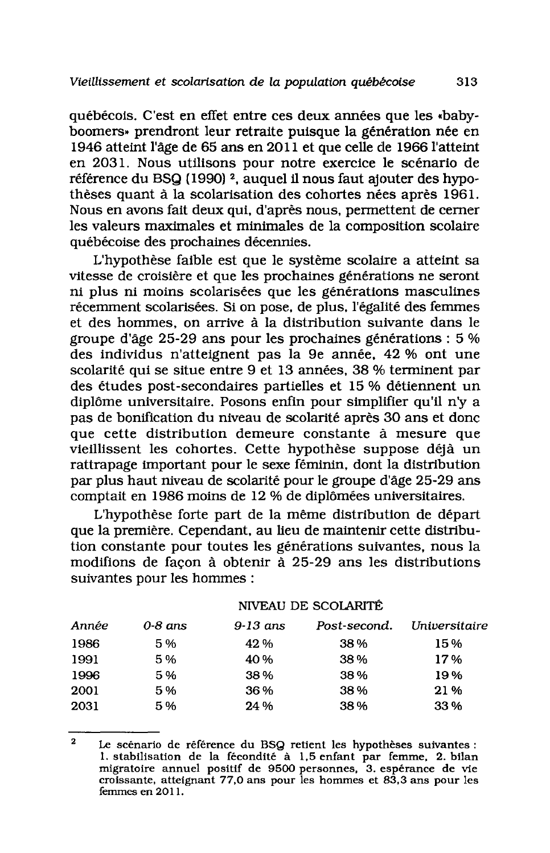québécois. C'est en effet entre ces deux années que les «babyboomers» prendront leur retraite puisque la génération née en 1946 atteint l'âge de 65 ans en 2011 et que celle de 1966 l'atteint en 2031. Nous utilisons pour notre exercice le scénario de référence du BSQ (1990)<sup>2</sup>, auquel il nous faut ajouter des hypothèses quant à la scolarisation des cohortes nées après 1961. Nous en avons fait deux qui, d'après nous, permettent de cerner les valeurs maximales et minimales de la composition scolaire québécoise des prochaines décennies.

L'hypothèse faible est que le système scolaire a atteint sa vitesse de croisière et que les prochaines générations ne seront ni plus ni moins scolarisées que les générations masculines récemment scolarisées. Si on pose, de plus, l'égalité des femmes et des hommes, on arrive à la distribution suivante dans le groupe d'âge 25-29 ans pour les prochaines générations : 5 % des individus n'atteignent pas la 9e année, 42 % ont une scolarité qui se situe entre 9 et 13 années, 38 % terminent par des études post-secondaires partielles et 15 % détiennent un diplôme universitaire. Posons enfin pour simplifier qu'il n'y a pas de bonification du niveau de scolarité après 30 ans et donc que cette distribution demeure constante à mesure que vieillissent les cohortes. Cette hypothèse suppose déjà un rattrapage important pour le sexe féminin, dont la distribution par plus haut niveau de scolarité pour le groupe d'âge 25-29 ans comptait en 1986 moins de 12 % de diplômées universitaires.

L'hypothèse forte part de la même distribution de départ que la première. Cependant, au lieu de maintenir cette distribution constante pour toutes les générations suivantes, nous la modifions de facon à obtenir à 25-29 ans les distributions suivantes pour les hommes :

| Année<br>0-8 ans |    | 9-13 ans | Post-second. | Universitaire |  |  |
|------------------|----|----------|--------------|---------------|--|--|
| 1986             | 5% | 42 %     | 38%          | 15%           |  |  |
| 1991             | 5% | 40%      | 38%          | 17%           |  |  |
| 1996             | 5% | 38%      | 38%          | 19%           |  |  |
| 2001             | 5% | 36%      | 38%          | 21%           |  |  |
| 2031             | 5% | 24 %     | 38%          | 33%           |  |  |

#### NIVEAU DE SCOLARITÉ

 $\mathbf{\Omega}$ Le scénario de référence du BSQ retient les hypothèses suivantes : 1. stabilisation de la fécondité à 1,5 enfant par femme, 2. bilan migratoire annuel positif de 9500 personnes, 3. espérance de vie croissante, atteignant 77,0 ans pour les hommes et 83,3 ans pour les femmes en 2011.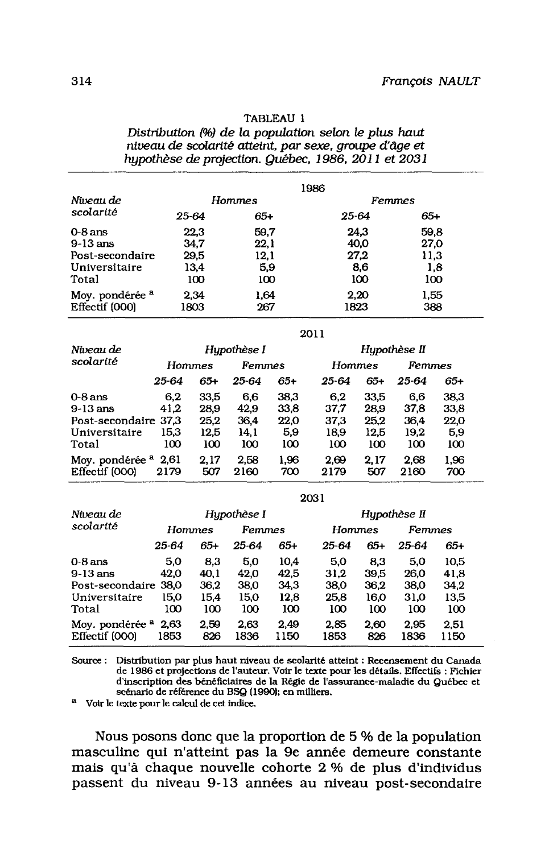| TABLEAU 1                                              |
|--------------------------------------------------------|
| Distribution (%) de la population selon le plus haut   |
| niveau de scolarité atteint, par sexe, groupe d'âge et |
| hypothèse de projection. Québec, 1986, 2011 et 2031    |

|                            | 1986          |       |        |      |  |
|----------------------------|---------------|-------|--------|------|--|
| Niveau de                  | <b>Hommes</b> |       | Femmes |      |  |
| scolarité                  | 25 64         | $65+$ | 25-64  | 65+  |  |
| $0-8$ ans                  | 22.3          | 59.7  | 24.3   | 59.8 |  |
| $9-13$ ans                 | 34.7          | 22.1  | 40,0   | 27,0 |  |
| Post-secondaire            | 29.5          | 12,1  | 27.2   | 11,3 |  |
| Universitaire              | 13,4          | 5.9   | 8.6    | 1.8  |  |
| Total                      | 100           | 100   | 100    | 100  |  |
| Moy. pondérée <sup>a</sup> | 2.34          | 1,64  | 2.20   | 1.55 |  |
| Effectif (000)             | 1803          | 267   | 1823   | 388  |  |

2011

| Niveau de                                    | Hupothèse I  |             |              |             | Hupothèse II |             |              |             |  |  |
|----------------------------------------------|--------------|-------------|--------------|-------------|--------------|-------------|--------------|-------------|--|--|
| scolarité                                    | Hommes       |             | Femmes       |             | Hommes       |             | Femmes       |             |  |  |
|                                              | 25-64        | 65+         | 25-64        | $65+$       | 25-64        | 65+         | 25-64        | 65+         |  |  |
| $0-8$ ans                                    | 6.2          | 33.5        | 6.6          | 38.3        | 6.2          | 33.5        | 6.6          | 38.3        |  |  |
| $9-13$ ans                                   | 41.2         | 28.9        | 42.9         | 33.8        | 37.7         | 28.9        | 37.8         | 33,8        |  |  |
| Post-secondaire 37.3                         |              | 25,2        | 36.4         | 22.0        | 37.3         | 25.2        | 36.4         | 22,0        |  |  |
| Universitaire                                | 15.3         | 12.5        | 14.1         | 5.9         | 18.9         | 12.5        | 19.2         | 5,9         |  |  |
| Total                                        | 100          | 100         | 100          | 100         | 100          | 100         | 100          | 100         |  |  |
| Moy. pondérée <sup>a</sup><br>Effectif (000) | 2,61<br>2179 | 2,17<br>507 | 2.58<br>2160 | 1.96<br>700 | 2.69<br>2179 | 2.17<br>507 | 2.68<br>2160 | 1.96<br>700 |  |  |

| Hypothèse I   |                                                    |              | Hupothèse II |               |             |              |              |  |  |
|---------------|----------------------------------------------------|--------------|--------------|---------------|-------------|--------------|--------------|--|--|
| <b>Hommes</b> |                                                    | Femmes       |              | <b>Hommes</b> |             | Femmes       |              |  |  |
| 25-64         | 65+                                                | 25-64        | 65+          | 25-64         | 65+         | 25-64        | 65+          |  |  |
| 5.0           | 8,3                                                | 5.0          | 10,4         | 5,0           | 8.3         | 5.0          | 10.5         |  |  |
| 42.0          | 40.1                                               | 42.0         | 42.5         | 31.2          | 39.5        | 26.0         | 41,8         |  |  |
|               | 36.2                                               | 38.0         | 34.3         | 38.0          | 36.2        | 38.0         | 34.2         |  |  |
| 15.0          | 15,4                                               | 15.0         | 12.8         | 25.8          | 16,0        | 31.0         | 13.5         |  |  |
| 100           | 100                                                | 100          | 100          | 100           | 100         | 100          | 100          |  |  |
| 2.63<br>1853  | 2.59<br>826                                        | 2.63<br>1836 | 2.49<br>1150 | 2.85<br>1853  | 2.60<br>826 | 2.95<br>1836 | 2.51<br>1150 |  |  |
|               | Post-secondaire 38.0<br>Moy. pondérée <sup>a</sup> |              |              |               | 2031        |              |              |  |  |

Source : Distribution par plus haut niveau de scolarité atteint : Recensement du Canada de 1986 et projections de l'auteur. Voir le texte pour les détails. Effectifs : Fichier d'inscription des bénéficiaires de la Régie de l'assurance-maladie du Québec et scénario de référence du BSQ (1990); en milliers.

<sup>a</sup> Voir le texte pour le calcul de cet indice.

Nous posons donc que la proportion de 5 % de la population masculine qui n'atteint pas la 9e année demeure constante mais qu'à chaque nouvelle cohorte 2 % de plus d'individus passent du niveau 9-13 années au niveau post-secondaire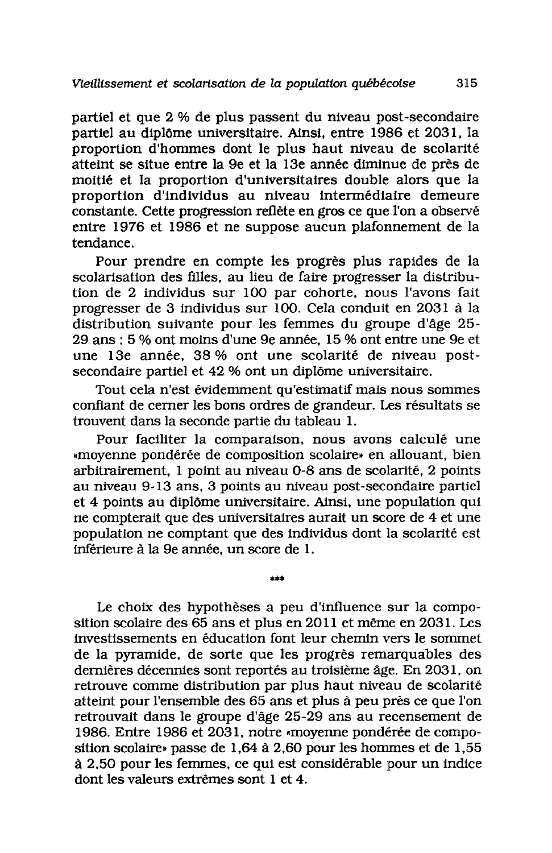partiel et que 2 % de plus passent du niveau post-secondaire partiel au diplôme universitaire. Ainsi, entre 1986 et 2031, la proportion d'hommes dont le plus haut niveau de scolarité atteint se situe entre la 9e et la 13e année diminue de près de moitié et la proportion d'universitaires double alors que la proportion d'individus au niveau intermédiaire demeure constante. Cette progression reflète en gros ce que l'on a observé entre 1976 et 1986 et ne suppose aucun plafonnement de la tendance.

Pour prendre en compte les progrès plus rapides de la scolarisation des filles, au lieu de faire progresser la distribution de 2 individus sur 100 par cohorte, nous l'avons fait progresser de 3 individus sur 100. Cela conduit en 2031 à la distribution suivante pour les femmes du groupe d'âge 25-29 ans : 5 % ont moins d'une 9e année, 15 % ont entre une 9e et une 13e année, 38% ont une scolarité de niveau postsecondaire partiel et 42 % ont un diplôme universitaire.

Tout cela n'est évidemment qu'estimatif mais nous sommes confiant de cerner les bons ordres de grandeur. Les résultats se trouvent dans la seconde partie du tableau 1.

Pour faciliter la comparaison, nous avons calculé une «moyenne pondérée de composition scolaire» en allouant, bien arbitrairement. 1 point au niveau 0-8 ans de scolarité. 2 points au niveau 9-13 ans, 3 points au niveau post-secondaire partiel et 4 points au diplôme universitaire. Ainsi, une population qui ne compterait que des universitaires aurait un score de 4 et une population ne comptant que des individus dont la scolarité est inférieure à la 9e année, un score de 1.

فطاعا

Le choix des hypothèses a peu d'influence sur la composition scolaire des 65 ans et plus en 2011 et même en 2031. Les investissements en éducation font leur chemin vers le sommet de la pyramide, de sorte que les progrès remarquables des dernières décennies sont reportés au troisième âge. En 2031, on retrouve comme distribution par plus haut niveau de scolarité atteint pour l'ensemble des 65 ans et plus à peu près ce que l'on retrouvait dans le groupe d'âge 25-29 ans au recensement de 1986. Entre 1986 et 2031, notre «moyenne pondérée de composition scolaire» passe de 1,64 à 2,60 pour les hommes et de 1.55 à 2,50 pour les femmes, ce qui est considérable pour un indice dont les valeurs extrêmes sont 1 et 4.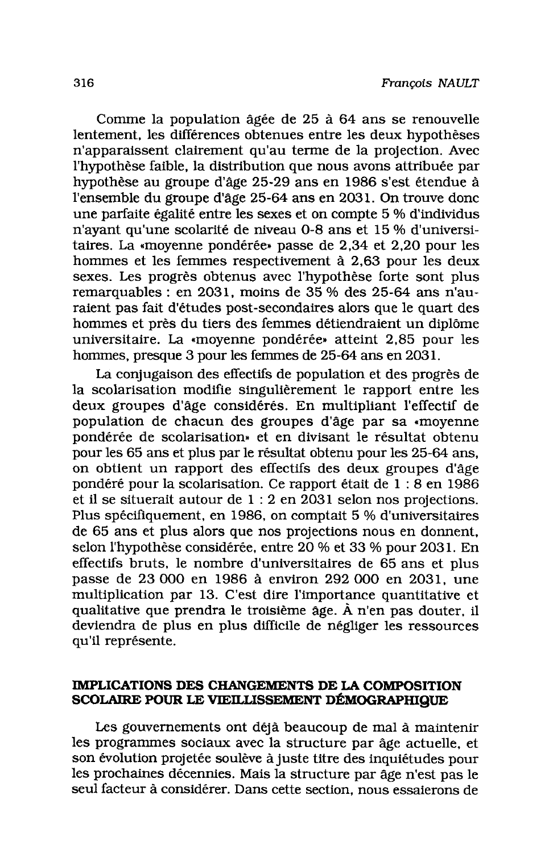Comme la population âgée de 25 à 64 ans se renouvelle lentement, les différences obtenues entre les deux hypothèses n'apparaissent clairement qu'au terme de la projection. Avec l'hypothèse faible, la distribution que nous avons attribuée par hypothèse au groupe d'âge 25-29 ans en 1986 s'est étendue à l'ensemble du groupe d'âge 25-64 ans en 2031. On trouve donc une parfaite égalité entre les sexes et on compte 5 % d'individus n'avant qu'une scolarité de niveau 0-8 ans et 15 % d'universitaires. La «moyenne pondérée» passe de 2,34 et 2,20 pour les hommes et les femmes respectivement à 2,63 pour les deux sexes. Les progrès obtenus avec l'hypothèse forte sont plus remarquables : en 2031, moins de 35 % des 25-64 ans n'auraient pas fait d'études post-secondaires alors que le quart des hommes et près du tiers des femmes détiendraient un diplôme universitaire. La «moyenne pondérée» atteint 2,85 pour les hommes, presque 3 pour les femmes de 25-64 ans en 2031.

La conjugaison des effectifs de population et des progrès de la scolarisation modifie singulièrement le rapport entre les deux groupes d'âge considérés. En multipliant l'effectif de population de chacun des groupes d'âge par sa «movenne pondérée de scolarisation» et en divisant le résultat obtenu pour les 65 ans et plus par le résultat obtenu pour les 25-64 ans. on obtient un rapport des effectifs des deux groupes d'âge pondéré pour la scolarisation. Ce rapport était de 1 : 8 en 1986 et il se situerait autour de  $1:2$  en 2031 selon nos projections. Plus spécifiquement, en 1986, on comptait 5 % d'universitaires de 65 ans et plus alors que nos projections nous en donnent, selon l'hypothèse considérée, entre 20 % et 33 % pour 2031. En effectifs bruts, le nombre d'universitaires de 65 ans et plus passe de 23 000 en 1986 à environ 292 000 en 2031, une multiplication par 13. C'est dire l'importance quantitative et qualitative que prendra le troisième âge. À n'en pas douter, il deviendra de plus en plus difficile de négliger les ressources qu'il représente.

## IMPLICATIONS DES CHANGEMENTS DE LA COMPOSITION SCOLAIRE POUR LE VIEILLISSEMENT DÉMOGRAPHIQUE

Les gouvernements ont déjà beaucoup de mal à maintenir les programmes sociaux avec la structure par âge actuelle, et son évolution projetée soulève à juste titre des inquiétudes pour les prochaines décennies. Mais la structure par âge n'est pas le seul facteur à considérer. Dans cette section, nous essaierons de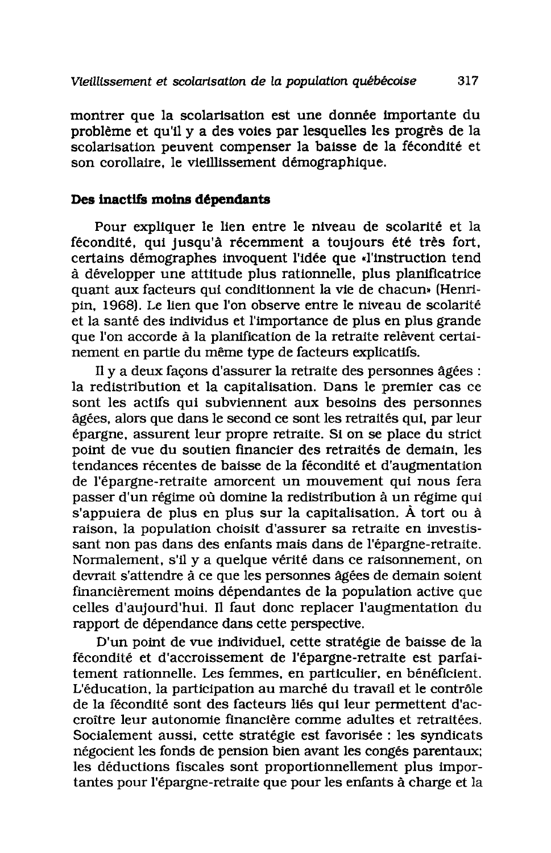montrer que la scolarisation est une donnée importante du problème et qu'il y a des voies par lesquelles les progrès de la scolarisation peuvent compenser la baisse de la fécondité et son corollaire, le vieillissement démographique.

#### Des inactifs moins dépendants

Pour expliquer le lien entre le niveau de scolarité et la fécondité, qui jusqu'à récemment a toujours été très fort, certains démographes invoquent l'idée que «l'instruction tend à développer une attitude plus rationnelle, plus planificatrice quant aux facteurs qui conditionnent la vie de chacun» (Henripin. 1968). Le lien que l'on observe entre le niveau de scolarité et la santé des individus et l'importance de plus en plus grande que l'on accorde à la planification de la retraite relèvent certainement en partie du même type de facteurs explicatifs.

Il y a deux façons d'assurer la retraite des personnes âgées : la redistribution et la capitalisation. Dans le premier cas ce sont les actifs qui subviennent aux besoins des personnes âgées, alors que dans le second ce sont les retraités qui, par leur épargne, assurent leur propre retraite. Si on se place du strict point de vue du soutien financier des retraités de demain. les tendances récentes de baisse de la fécondité et d'augmentation de l'épargne-retraite amorcent un mouvement qui nous fera passer d'un régime où domine la redistribution à un régime qui s'appuiera de plus en plus sur la capitalisation. À tort ou à raison, la population choisit d'assurer sa retraite en investissant non pas dans des enfants mais dans de l'épargne-retraite. Normalement, s'il y a quelque vérité dans ce raisonnement, on devrait s'attendre à ce que les personnes âgées de demain soient financièrement moins dépendantes de la population active que celles d'aujourd'hui. Il faut donc replacer l'augmentation du rapport de dépendance dans cette perspective.

D'un point de vue individuel, cette stratégie de baisse de la fécondité et d'accroissement de l'épargne-retraite est parfaitement rationnelle. Les femmes, en particulier, en bénéficient. L'éducation, la participation au marché du travail et le contrôle de la fécondité sont des facteurs liés qui leur permettent d'accroître leur autonomie financière comme adultes et retraitées. Socialement aussi, cette stratégie est favorisée : les syndicats négocient les fonds de pension bien avant les congés parentaux; les déductions fiscales sont proportionnellement plus importantes pour l'épargne-retraite que pour les enfants à charge et la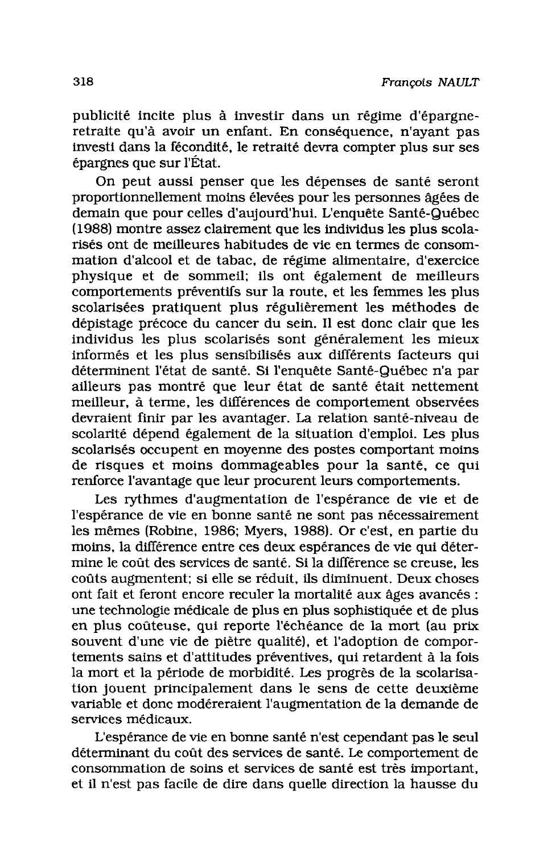publicité incite plus à investir dans un régime d'épargneretraite qu'à avoir un enfant. En conséquence, n'avant pas investi dans la fécondité, le retraité devra compter plus sur ses épargnes que sur l'État.

On peut aussi penser que les dépenses de santé seront proportionnellement moins élevées pour les personnes âgées de demain que pour celles d'aujourd'hui. L'enquête Santé-Québec (1988) montre assez clairement que les individus les plus scolarisés ont de meilleures habitudes de vie en termes de consommation d'alcool et de tabac, de régime alimentaire, d'exercice physique et de sommeil; ils ont également de meilleurs comportements préventifs sur la route, et les femmes les plus scolarisées pratiquent plus régulièrement les méthodes de dépistage précoce du cancer du sein. Il est donc clair que les individus les plus scolarisés sont généralement les mieux informés et les plus sensibilisés aux différents facteurs qui déterminent l'état de santé. Si l'enquête Santé-Québec n'a par ailleurs pas montré que leur état de santé était nettement meilleur, à terme, les différences de comportement observées devraient finir par les avantager. La relation santé-niveau de scolarité dépend également de la situation d'emploi. Les plus scolarisés occupent en moyenne des postes comportant moins de risques et moins dommageables pour la santé, ce qui renforce l'avantage que leur procurent leurs comportements.

Les rythmes d'augmentation de l'espérance de vie et de l'espérance de vie en bonne santé ne sont pas nécessairement les mêmes (Robine, 1986; Myers, 1988). Or c'est, en partie du moins, la différence entre ces deux espérances de vie qui détermine le coût des services de santé. Si la différence se creuse, les coûts augmentent: si elle se réduit, ils diminuent. Deux choses ont fait et feront encore reculer la mortalité aux âges avancés : une technologie médicale de plus en plus sophistiquée et de plus en plus coûteuse, qui reporte l'échéance de la mort (au prix souvent d'une vie de piètre qualité), et l'adoption de comportements sains et d'attitudes préventives, qui retardent à la fois la mort et la période de morbidité. Les progrès de la scolarisation jouent principalement dans le sens de cette deuxième variable et donc modéreraient l'augmentation de la demande de services médicaux.

L'espérance de vie en bonne santé n'est cependant pas le seul déterminant du coût des services de santé. Le comportement de consommation de soins et services de santé est très important. et il n'est pas facile de dire dans quelle direction la hausse du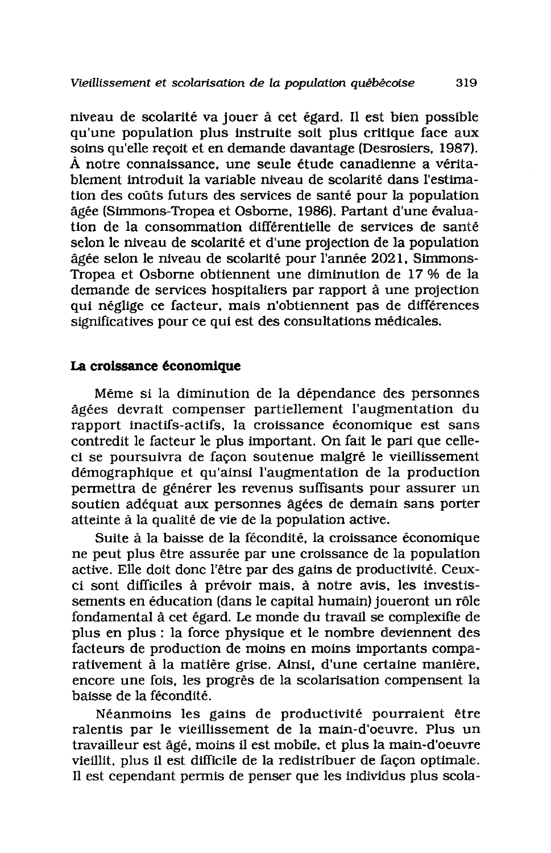niveau de scolarité va jouer à cet égard. Il est bien possible qu'une population plus instruite soit plus critique face aux soins qu'elle reçoit et en demande davantage (Desrosiers, 1987). À notre connaissance, une seule étude canadienne a véritablement introduit la variable niveau de scolarité dans l'estimation des coûts futurs des services de santé pour la population âgée (Simmons-Tropea et Osborne, 1986). Partant d'une évaluation de la consommation différentielle de services de santé selon le niveau de scolarité et d'une projection de la population âgée selon le niveau de scolarité pour l'année 2021, Simmons-Tropea et Osborne obtiennent une diminution de 17 % de la demande de services hospitaliers par rapport à une projection qui néglige ce facteur, mais n'obtiennent pas de différences significatives pour ce qui est des consultations médicales.

## La croissance économique

Même si la diminution de la dépendance des personnes âgées devrait compenser partiellement l'augmentation du rapport inactifs-actifs, la croissance économique est sans contredit le facteur le plus important. On fait le pari que celleci se poursuivra de façon soutenue malgré le vieillissement démographique et qu'ainsi l'augmentation de la production permettra de générer les revenus suffisants pour assurer un soutien adéquat aux personnes âgées de demain sans porter atteinte à la qualité de vie de la population active.

Suite à la baisse de la fécondité, la croissance économique ne peut plus être assurée par une croissance de la population active. Elle doit donc l'être par des gains de productivité. Ceuxci sont difficiles à prévoir mais, à notre avis, les investissements en éducation (dans le capital humain) joueront un rôle fondamental à cet égard. Le monde du travail se complexifie de plus en plus : la force physique et le nombre deviennent des facteurs de production de moins en moins importants comparativement à la matière grise. Ainsi, d'une certaine manière, encore une fois, les progrès de la scolarisation compensent la baisse de la fécondité.

Néanmoins les gains de productivité pourraient être ralentis par le vieillissement de la main-d'oeuvre. Plus un travailleur est âgé, moins il est mobile, et plus la main-d'oeuvre vieillit, plus il est difficile de la redistribuer de façon optimale. Il est cependant permis de penser que les individus plus scola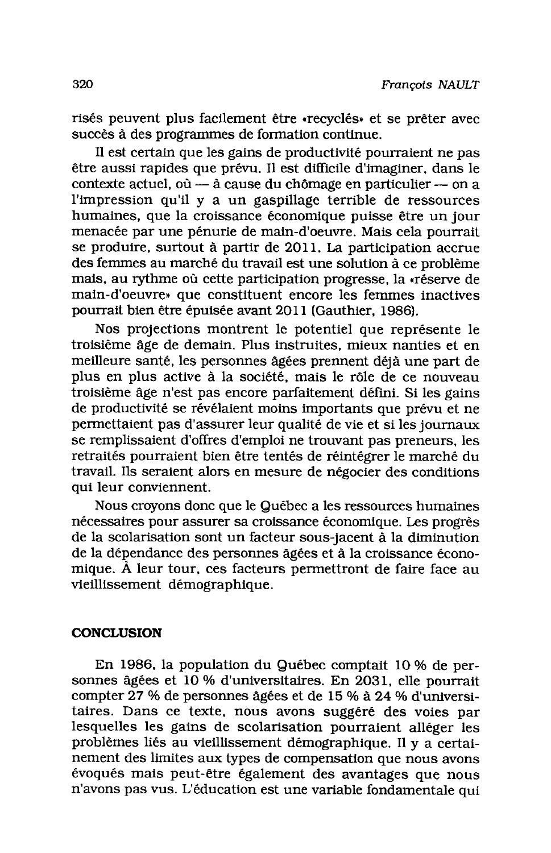risés peuvent plus facilement être «recyclés» et se prêter avec succès à des programmes de formation continue.

Il est certain que les gains de productivité pourraient ne pas être aussi rapides que prévu. Il est difficile d'imaginer, dans le contexte actuel, où - à cause du chômage en particulier - on a l'impression qu'il y a un gaspillage terrible de ressources humaines, que la croissance économique puisse être un jour menacée par une pénurie de main-d'oeuvre. Mais cela pourrait se produire, surtout à partir de 2011. La participation accrue des femmes au marché du travail est une solution à ce problème mais, au rythme où cette participation progresse, la «réserve de main-d'oeuvre» que constituent encore les femmes inactives pourrait bien être épuisée avant 2011 (Gauthier, 1986).

Nos projections montrent le potentiel que représente le troisième âge de demain. Plus instruites, mieux nanties et en meilleure santé, les personnes âgées prennent déjà une part de plus en plus active à la société, mais le rôle de ce nouveau troisième âge n'est pas encore parfaitement défini. Si les gains de productivité se révélaient moins importants que prévu et ne permettaient pas d'assurer leur qualité de vie et si les journaux se remplissaient d'offres d'emploi ne trouvant pas preneurs, les retraités pourraient bien être tentés de réintégrer le marché du travail. Ils seraient alors en mesure de négocier des conditions qui leur conviennent.

Nous croyons donc que le Québec a les ressources humaines nécessaires pour assurer sa croissance économique. Les progrès de la scolarisation sont un facteur sous-jacent à la diminution de la dépendance des personnes âgées et à la croissance économique. À leur tour, ces facteurs permettront de faire face au vieillissement démographique.

## **CONCLUSION**

En 1986, la population du Québec comptait 10 % de personnes âgées et 10 % d'universitaires. En 2031, elle pourrait compter 27 % de personnes âgées et de 15 % à 24 % d'universitaires. Dans ce texte, nous avons suggéré des voies par lesquelles les gains de scolarisation pourraient alléger les problèmes liés au vieillissement démographique. Il y a certainement des limites aux types de compensation que nous avons évoqués mais peut-être également des avantages que nous n'avons pas vus. L'éducation est une variable fondamentale qui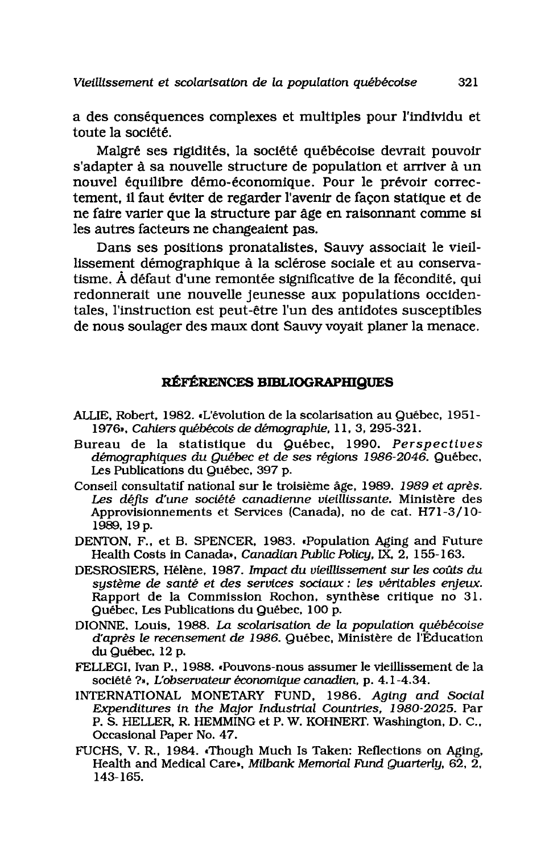Vieillissement et scolarisation de la population québécoise

a des conséquences complexes et multiples pour l'individu et toute la société.

Malgré ses rigidités, la société québécoise devrait pouvoir s'adapter à sa nouvelle structure de population et arriver à un nouvel équilibre démo-économique. Pour le prévoir correctement. il faut éviter de regarder l'avenir de facon statique et de ne faire varier que la structure par âge en raisonnant comme si les autres facteurs ne changeaient pas.

Dans ses positions pronatalistes. Sauvy associait le vieillissement démographique à la sclérose sociale et au conservatisme. À défaut d'une remontée significative de la fécondité, qui redonnerait une nouvelle jeunesse aux populations occidentales, l'instruction est peut-être l'un des antidotes susceptibles de nous soulager des maux dont Sauvy voyait planer la menace.

## RÉFÉRENCES BIBLIOGRAPHIQUES

- ALLIE, Robert, 1982. «L'évolution de la scolarisation au Québec, 1951-1976», Cahiers québécois de démographie, 11, 3, 295-321.
- Bureau de la statistique du Québec, 1990. Perspectives démographiques du Québec et de ses régions 1986-2046. Québec, Les Publications du Québec, 397 p.
- Conseil consultatif national sur le troisième âge, 1989. 1989 et après. Les défis d'une société canadienne vieillissante. Ministère des Approvisionnements et Services (Canada), no de cat. H71-3/10-1989, 19 p.
- DENTON, F., et B. SPENCER, 1983. «Population Aging and Future Health Costs in Canada», Canadian Public Policy, IX, 2, 155-163.
- DESROSIERS, Hélène, 1987. Impact du vieillissement sur les coûts du système de santé et des services sociaux : les véritables enjeux. Rapport de la Commission Rochon, synthèse critique no 31. Québec, Les Publications du Québec, 100 p.
- DIONNE, Louis, 1988. La scolarisation de la population québécoise d'après le recensement de 1986. Québec, Ministère de l'Éducation du Québec, 12 p.
- FELLEGI, Ivan P., 1988. «Pouvons-nous assumer le vieillissement de la société ?», L'observateur économique canadien, p. 4.1-4.34.
- INTERNATIONAL MONETARY FUND, 1986. Aging and Social Expenditures in the Major Industrial Countries, 1980-2025. Par P. S. HELLER, R. HEMMING et P. W. KOHNERT. Washington, D. C., Occasional Paper No. 47.
- FUCHS, V. R., 1984. Though Much Is Taken: Reflections on Aging, Health and Medical Care», Milbank Memorial Fund Quarterly,  $62, 2, 7$ 143-165.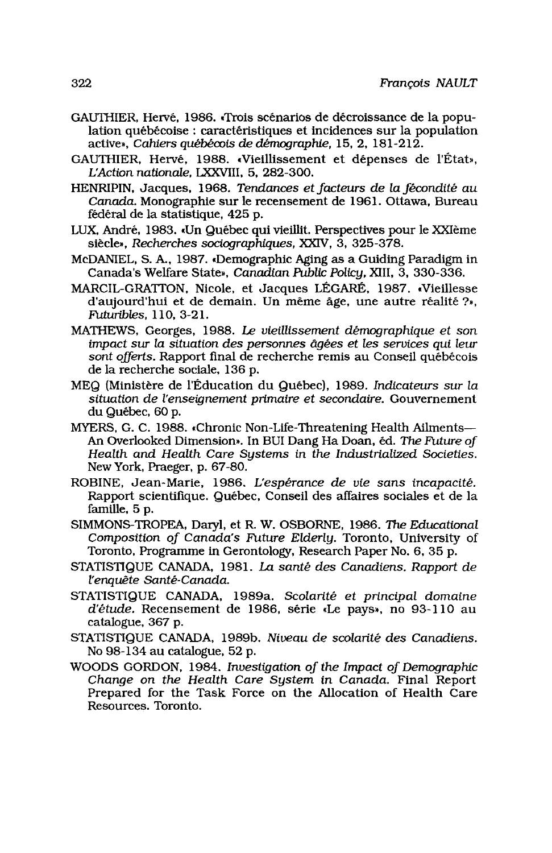- GAUTHIER. Hervé. 1986. «Trois scénarios de décroissance de la population québécoise : caractéristiques et incidences sur la population active». Cahiers québécois de démographie, 15, 2, 181-212.
- GAUTHIER, Hervé, 1988. «Vieillissement et dépenses de l'État». L'Action nationale, LXXVIII, 5, 282-300.
- HENRIPIN, Jacques, 1968. Tendances et facteurs de la fécondité au Canada. Monographie sur le recensement de 1961. Ottawa, Bureau fédéral de la statistique, 425 p.
- LUX. André, 1983. «Un Québec qui vieillit. Perspectives pour le XXIème siècle», Recherches sociographiques, XXIV, 3, 325-378.
- McDANIEL, S. A., 1987. Demographic Aging as a Guiding Paradigm in Canada's Welfare State», Canadian Public Policy, XIII, 3, 330-336.
- MARCIL-GRATTON, Nicole, et Jacques LÉGARÉ, 1987. «Vieillesse d'aujourd'hui et de demain. Un même âge, une autre réalité ?». Futuribles. 110. 3-21.
- MATHEWS, Georges, 1988. Le vieillissement démographique et son impact sur la situation des personnes âgées et les services qui leur sont offerts. Rapport final de recherche remis au Conseil québécois de la recherche sociale, 136 p.
- MEQ (Ministère de l'Éducation du Québec), 1989. Indicateurs sur la situation de l'enseignement primaire et secondaire. Gouvernement du Québec, 60 p.
- MYERS, G. C. 1988. «Chronic Non-Life-Threatening Health Ailments-An Overlooked Dimension». In BUI Dang Ha Doan, éd. The Future of Health and Health Care Systems in the Industrialized Societies. New York, Praeger, p. 67-80.
- ROBINE, Jean-Marie, 1986, L'espérance de vie sans incapacité. Rapport scientifique. Québec, Conseil des affaires sociales et de la famille, 5 p.
- SIMMONS-TROPEA, Daryl, et R. W. OSBORNE, 1986. The Educational Composition of Canada's Future Elderly. Toronto, University of Toronto, Programme in Gerontology, Research Paper No. 6, 35 p.
- STATISTIQUE CANADA, 1981. La santé des Canadiens. Rapport de l'enguête Santé-Canada.
- STATISTIQUE CANADA, 1989a. Scolarité et principal domaine d'étude. Recensement de 1986, série «Le pays», no 93-110 au catalogue, 367 p.
- STATISTIQUE CANADA, 1989b. Niveau de scolarité des Canadiens. No 98-134 au catalogue, 52 p.
- WOODS GORDON, 1984. Investigation of the Impact of Demographic Change on the Health Care System in Canada. Final Report Prepared for the Task Force on the Allocation of Health Care Resources. Toronto.